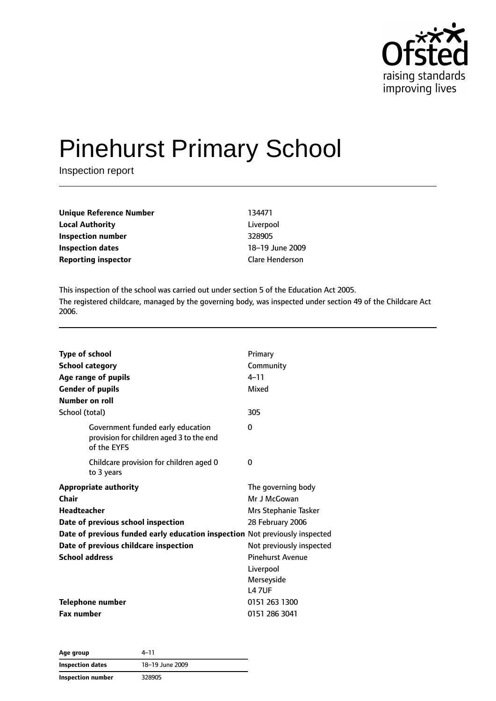

# Pinehurst Primary School

Inspection report

| Unique Reference Number    | 134471                 |
|----------------------------|------------------------|
| <b>Local Authority</b>     | Liverpool              |
| <b>Inspection number</b>   | 328905                 |
| <b>Inspection dates</b>    | 18-19 June 2009        |
| <b>Reporting inspector</b> | <b>Clare Henderson</b> |

This inspection of the school was carried out under section 5 of the Education Act 2005. The registered childcare, managed by the governing body, was inspected under section 49 of the Childcare Act 2006.

| <b>Type of school</b><br><b>School category</b><br>Age range of pupils<br><b>Gender of pupils</b><br>Number on roll<br>School (total)                                                                                                              | Primary<br>Community<br>$4 - 11$<br>Mixed<br>305                                                                                                                                 |
|----------------------------------------------------------------------------------------------------------------------------------------------------------------------------------------------------------------------------------------------------|----------------------------------------------------------------------------------------------------------------------------------------------------------------------------------|
| Government funded early education<br>provision for children aged 3 to the end<br>of the EYFS                                                                                                                                                       | $\Omega$                                                                                                                                                                         |
| Childcare provision for children aged 0<br>to 3 years                                                                                                                                                                                              | 0                                                                                                                                                                                |
| <b>Appropriate authority</b><br>Chair<br><b>Headteacher</b><br>Date of previous school inspection<br>Date of previous funded early education inspection Not previously inspected<br>Date of previous childcare inspection<br><b>School address</b> | The governing body<br>Mr J McGowan<br>Mrs Stephanie Tasker<br>28 February 2006<br>Not previously inspected<br><b>Pinehurst Avenue</b><br>Liverpool<br>Merseyside<br><b>L47UF</b> |
| Telephone number<br><b>Fax number</b>                                                                                                                                                                                                              | 0151 263 1300<br>0151 286 3041                                                                                                                                                   |

| Age group               | 4–11            |  |
|-------------------------|-----------------|--|
| <b>Inspection dates</b> | 18-19 June 2009 |  |
| Inspection number       | 328905          |  |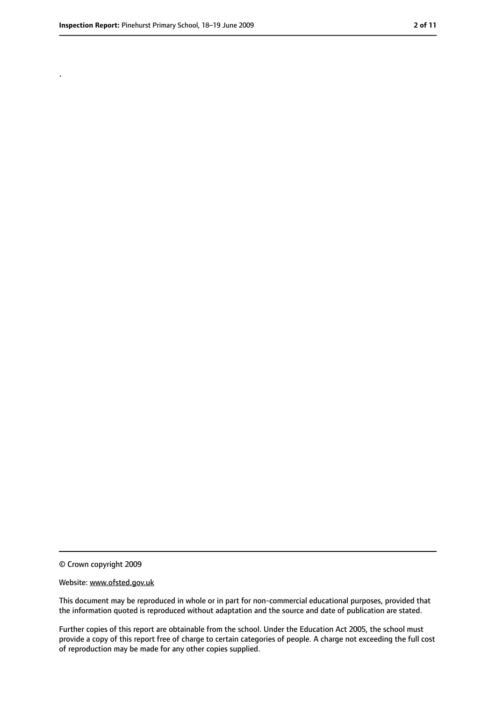.

<sup>©</sup> Crown copyright 2009

Website: www.ofsted.gov.uk

This document may be reproduced in whole or in part for non-commercial educational purposes, provided that the information quoted is reproduced without adaptation and the source and date of publication are stated.

Further copies of this report are obtainable from the school. Under the Education Act 2005, the school must provide a copy of this report free of charge to certain categories of people. A charge not exceeding the full cost of reproduction may be made for any other copies supplied.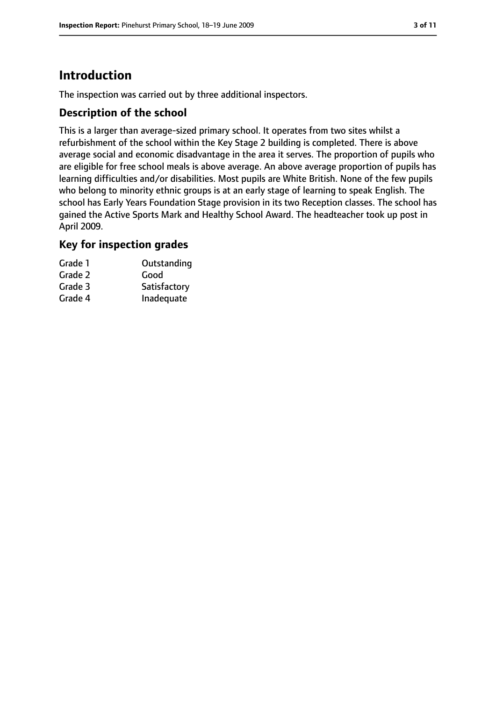# **Introduction**

The inspection was carried out by three additional inspectors.

## **Description of the school**

This is a larger than average-sized primary school. It operates from two sites whilst a refurbishment of the school within the Key Stage 2 building is completed. There is above average social and economic disadvantage in the area it serves. The proportion of pupils who are eligible for free school meals is above average. An above average proportion of pupils has learning difficulties and/or disabilities. Most pupils are White British. None of the few pupils who belong to minority ethnic groups is at an early stage of learning to speak English. The school has Early Years Foundation Stage provision in its two Reception classes. The school has gained the Active Sports Mark and Healthy School Award. The headteacher took up post in April 2009.

## **Key for inspection grades**

| Grade 1 | Outstanding  |
|---------|--------------|
| Grade 2 | Good         |
| Grade 3 | Satisfactory |
| Grade 4 | Inadequate   |
|         |              |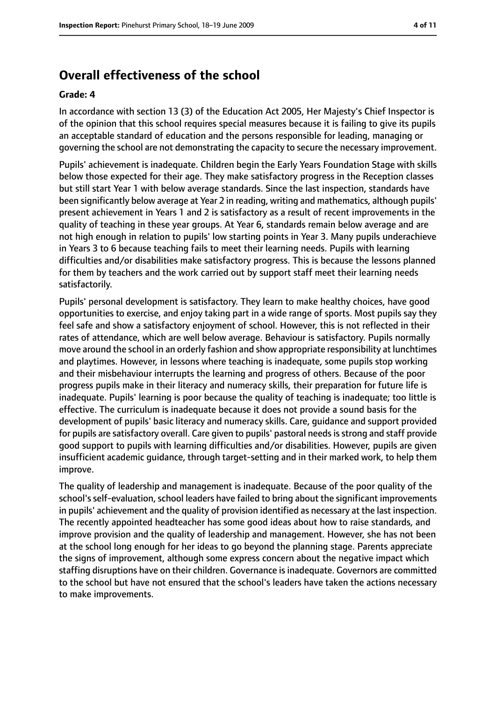# **Overall effectiveness of the school**

#### **Grade: 4**

In accordance with section 13 (3) of the Education Act 2005, Her Majesty's Chief Inspector is of the opinion that this school requires special measures because it is failing to give its pupils an acceptable standard of education and the persons responsible for leading, managing or governing the school are not demonstrating the capacity to secure the necessary improvement.

Pupils' achievement is inadequate. Children begin the Early Years Foundation Stage with skills below those expected for their age. They make satisfactory progress in the Reception classes but still start Year 1 with below average standards. Since the last inspection, standards have been significantly below average at Year 2 in reading, writing and mathematics, although pupils' present achievement in Years 1 and 2 is satisfactory as a result of recent improvements in the quality of teaching in these year groups. At Year 6, standards remain below average and are not high enough in relation to pupils' low starting points in Year 3. Many pupils underachieve in Years 3 to 6 because teaching fails to meet their learning needs. Pupils with learning difficulties and/or disabilities make satisfactory progress. This is because the lessons planned for them by teachers and the work carried out by support staff meet their learning needs satisfactorily.

Pupils' personal development is satisfactory. They learn to make healthy choices, have good opportunities to exercise, and enjoy taking part in a wide range of sports. Most pupils say they feel safe and show a satisfactory enjoyment of school. However, this is not reflected in their rates of attendance, which are well below average. Behaviour is satisfactory. Pupils normally move around the school in an orderly fashion and show appropriate responsibility at lunchtimes and playtimes. However, in lessons where teaching is inadequate, some pupils stop working and their misbehaviour interrupts the learning and progress of others. Because of the poor progress pupils make in their literacy and numeracy skills, their preparation for future life is inadequate. Pupils' learning is poor because the quality of teaching is inadequate; too little is effective. The curriculum is inadequate because it does not provide a sound basis for the development of pupils' basic literacy and numeracy skills. Care, guidance and support provided for pupils are satisfactory overall. Care given to pupils' pastoral needs is strong and staff provide good support to pupils with learning difficulties and/or disabilities. However, pupils are given insufficient academic guidance, through target-setting and in their marked work, to help them improve.

The quality of leadership and management is inadequate. Because of the poor quality of the school's self-evaluation, school leaders have failed to bring about the significant improvements in pupils' achievement and the quality of provision identified as necessary at the last inspection. The recently appointed headteacher has some good ideas about how to raise standards, and improve provision and the quality of leadership and management. However, she has not been at the school long enough for her ideas to go beyond the planning stage. Parents appreciate the signs of improvement, although some express concern about the negative impact which staffing disruptions have on their children. Governance is inadequate. Governors are committed to the school but have not ensured that the school's leaders have taken the actions necessary to make improvements.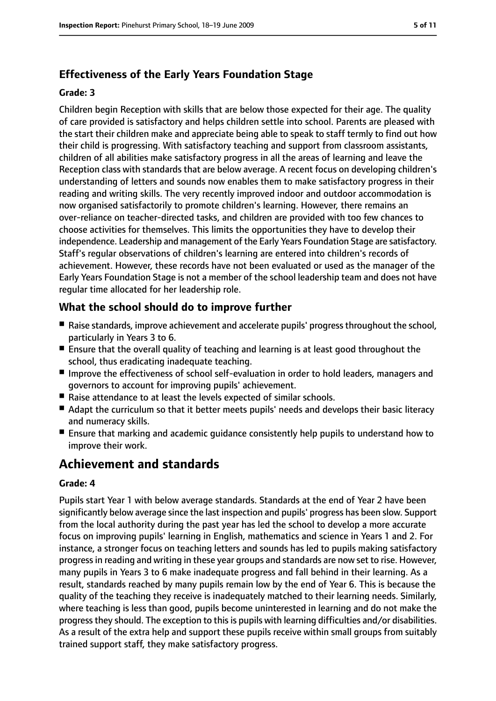## **Effectiveness of the Early Years Foundation Stage**

#### **Grade: 3**

Children begin Reception with skills that are below those expected for their age. The quality of care provided is satisfactory and helps children settle into school. Parents are pleased with the start their children make and appreciate being able to speak to staff termly to find out how their child is progressing. With satisfactory teaching and support from classroom assistants, children of all abilities make satisfactory progress in all the areas of learning and leave the Reception class with standards that are below average. A recent focus on developing children's understanding of letters and sounds now enables them to make satisfactory progress in their reading and writing skills. The very recently improved indoor and outdoor accommodation is now organised satisfactorily to promote children's learning. However, there remains an over-reliance on teacher-directed tasks, and children are provided with too few chances to choose activities for themselves. This limits the opportunities they have to develop their independence. Leadership and management of the Early Years Foundation Stage are satisfactory. Staff's regular observations of children's learning are entered into children's records of achievement. However, these records have not been evaluated or used as the manager of the Early Years Foundation Stage is not a member of the school leadership team and does not have regular time allocated for her leadership role.

## **What the school should do to improve further**

- Raise standards, improve achievement and accelerate pupils' progress throughout the school, particularly in Years 3 to 6.
- Ensure that the overall quality of teaching and learning is at least good throughout the school, thus eradicating inadequate teaching.
- Improve the effectiveness of school self-evaluation in order to hold leaders, managers and governors to account for improving pupils' achievement.
- Raise attendance to at least the levels expected of similar schools.
- Adapt the curriculum so that it better meets pupils' needs and develops their basic literacy and numeracy skills.
- Ensure that marking and academic guidance consistently help pupils to understand how to improve their work.

# **Achievement and standards**

#### **Grade: 4**

Pupils start Year 1 with below average standards. Standards at the end of Year 2 have been significantly below average since the last inspection and pupils' progress has been slow. Support from the local authority during the past year has led the school to develop a more accurate focus on improving pupils' learning in English, mathematics and science in Years 1 and 2. For instance, a stronger focus on teaching letters and sounds has led to pupils making satisfactory progressin reading and writing in these year groups and standards are now set to rise. However, many pupils in Years 3 to 6 make inadequate progress and fall behind in their learning. As a result, standards reached by many pupils remain low by the end of Year 6. This is because the quality of the teaching they receive is inadequately matched to their learning needs. Similarly, where teaching is less than good, pupils become uninterested in learning and do not make the progress they should. The exception to this is pupils with learning difficulties and/or disabilities. As a result of the extra help and support these pupils receive within small groups from suitably trained support staff, they make satisfactory progress.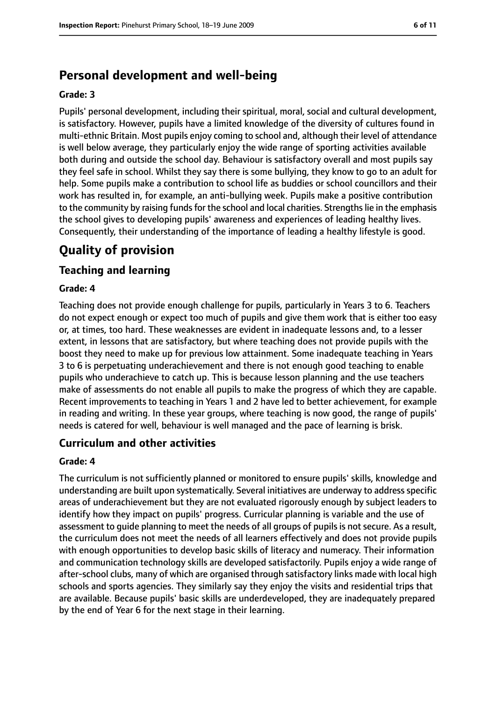# **Personal development and well-being**

#### **Grade: 3**

Pupils' personal development, including their spiritual, moral, social and cultural development, is satisfactory. However, pupils have a limited knowledge of the diversity of cultures found in multi-ethnic Britain. Most pupils enjoy coming to school and, although their level of attendance is well below average, they particularly enjoy the wide range of sporting activities available both during and outside the school day. Behaviour is satisfactory overall and most pupils say they feel safe in school. Whilst they say there is some bullying, they know to go to an adult for help. Some pupils make a contribution to school life as buddies or school councillors and their work has resulted in, for example, an anti-bullying week. Pupils make a positive contribution to the community by raising funds for the school and local charities. Strengths lie in the emphasis the school gives to developing pupils' awareness and experiences of leading healthy lives. Consequently, their understanding of the importance of leading a healthy lifestyle is good.

# **Quality of provision**

## **Teaching and learning**

#### **Grade: 4**

Teaching does not provide enough challenge for pupils, particularly in Years 3 to 6. Teachers do not expect enough or expect too much of pupils and give them work that is either too easy or, at times, too hard. These weaknesses are evident in inadequate lessons and, to a lesser extent, in lessons that are satisfactory, but where teaching does not provide pupils with the boost they need to make up for previous low attainment. Some inadequate teaching in Years 3 to 6 is perpetuating underachievement and there is not enough good teaching to enable pupils who underachieve to catch up. This is because lesson planning and the use teachers make of assessments do not enable all pupils to make the progress of which they are capable. Recent improvements to teaching in Years 1 and 2 have led to better achievement, for example in reading and writing. In these year groups, where teaching is now good, the range of pupils' needs is catered for well, behaviour is well managed and the pace of learning is brisk.

## **Curriculum and other activities**

#### **Grade: 4**

The curriculum is not sufficiently planned or monitored to ensure pupils' skills, knowledge and understanding are built upon systematically. Several initiatives are underway to address specific areas of underachievement but they are not evaluated rigorously enough by subject leaders to identify how they impact on pupils' progress. Curricular planning is variable and the use of assessment to guide planning to meet the needs of all groups of pupils is not secure. As a result, the curriculum does not meet the needs of all learners effectively and does not provide pupils with enough opportunities to develop basic skills of literacy and numeracy. Their information and communication technology skills are developed satisfactorily. Pupils enjoy a wide range of after-school clubs, many of which are organised through satisfactory links made with local high schools and sports agencies. They similarly say they enjoy the visits and residential trips that are available. Because pupils' basic skills are underdeveloped, they are inadequately prepared by the end of Year 6 for the next stage in their learning.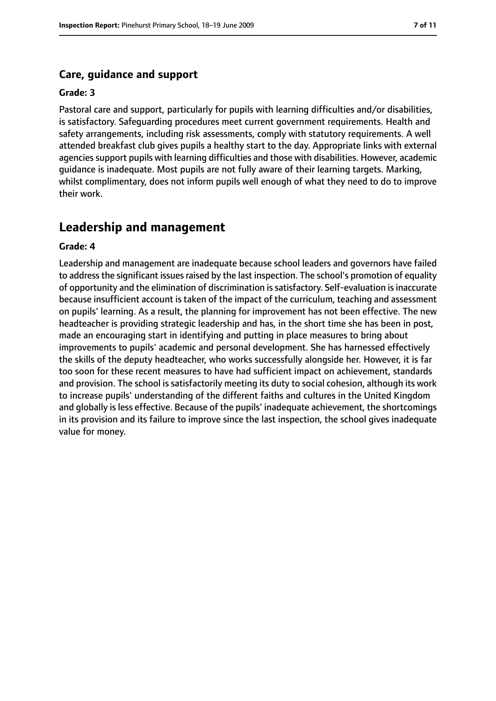#### **Care, guidance and support**

#### **Grade: 3**

Pastoral care and support, particularly for pupils with learning difficulties and/or disabilities, is satisfactory. Safeguarding procedures meet current government requirements. Health and safety arrangements, including risk assessments, comply with statutory requirements. A well attended breakfast club gives pupils a healthy start to the day. Appropriate links with external agencies support pupils with learning difficulties and those with disabilities. However, academic guidance is inadequate. Most pupils are not fully aware of their learning targets. Marking, whilst complimentary, does not inform pupils well enough of what they need to do to improve their work.

#### **Leadership and management**

#### **Grade: 4**

Leadership and management are inadequate because school leaders and governors have failed to address the significant issues raised by the last inspection. The school's promotion of equality of opportunity and the elimination of discrimination issatisfactory. Self-evaluation isinaccurate because insufficient account is taken of the impact of the curriculum, teaching and assessment on pupils' learning. As a result, the planning for improvement has not been effective. The new headteacher is providing strategic leadership and has, in the short time she has been in post, made an encouraging start in identifying and putting in place measures to bring about improvements to pupils' academic and personal development. She has harnessed effectively the skills of the deputy headteacher, who works successfully alongside her. However, it is far too soon for these recent measures to have had sufficient impact on achievement, standards and provision. The school is satisfactorily meeting its duty to social cohesion, although its work to increase pupils' understanding of the different faiths and cultures in the United Kingdom and globally is less effective. Because of the pupils' inadequate achievement, the shortcomings in its provision and its failure to improve since the last inspection, the school gives inadequate value for money.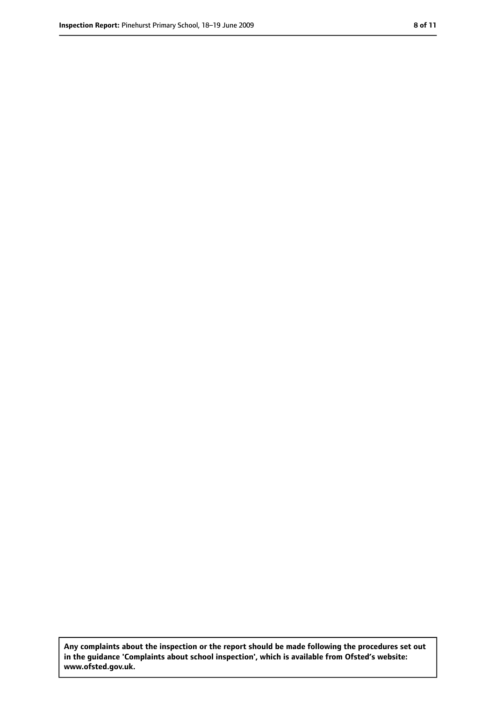**Any complaints about the inspection or the report should be made following the procedures set out in the guidance 'Complaints about school inspection', which is available from Ofsted's website: www.ofsted.gov.uk.**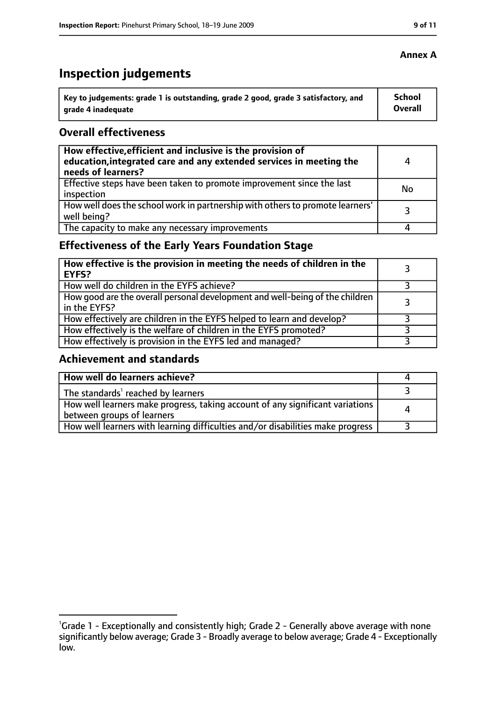# **Inspection judgements**

| \ Key to judgements: grade 1 is outstanding, grade 2 good, grade 3 satisfactory, and | <b>School</b>  |
|--------------------------------------------------------------------------------------|----------------|
| arade 4 inadequate                                                                   | <b>Overall</b> |

#### **Overall effectiveness**

| How effective, efficient and inclusive is the provision of<br>education, integrated care and any extended services in meeting the<br>needs of learners? | 4  |
|---------------------------------------------------------------------------------------------------------------------------------------------------------|----|
| Effective steps have been taken to promote improvement since the last<br>inspection                                                                     | No |
| How well does the school work in partnership with others to promote learners'<br>well being?                                                            |    |
| The capacity to make any necessary improvements                                                                                                         |    |

# **Effectiveness of the Early Years Foundation Stage**

| How effective is the provision in meeting the needs of children in the<br>l EYFS?              |  |
|------------------------------------------------------------------------------------------------|--|
| How well do children in the EYFS achieve?                                                      |  |
| How good are the overall personal development and well-being of the children<br>I in the EYFS? |  |
| How effectively are children in the EYFS helped to learn and develop?                          |  |
| How effectively is the welfare of children in the EYFS promoted?                               |  |
| How effectively is provision in the EYFS led and managed?                                      |  |

#### **Achievement and standards**

| How well do learners achieve?                                                                               |  |
|-------------------------------------------------------------------------------------------------------------|--|
| The standards <sup>1</sup> reached by learners                                                              |  |
| How well learners make progress, taking account of any significant variations<br>between groups of learners |  |
| How well learners with learning difficulties and/or disabilities make progress                              |  |

#### **Annex A**

<sup>&</sup>lt;sup>1</sup>Grade 1 - Exceptionally and consistently high; Grade 2 - Generally above average with none significantly below average; Grade 3 - Broadly average to below average; Grade 4 - Exceptionally low.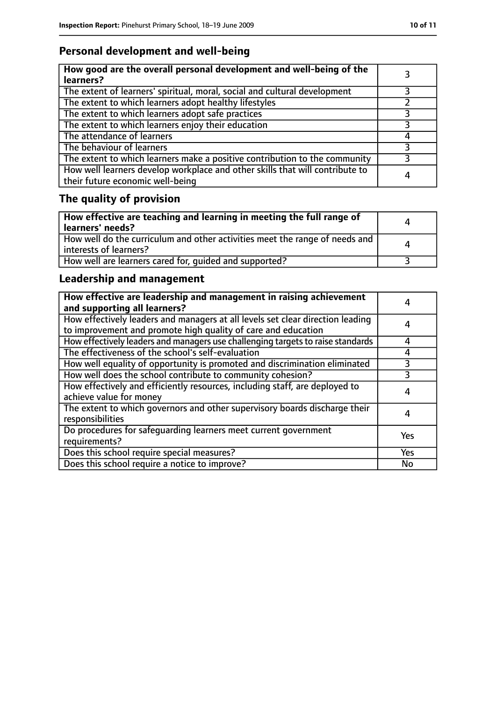# **Personal development and well-being**

| How good are the overall personal development and well-being of the<br>learners?                                 |   |
|------------------------------------------------------------------------------------------------------------------|---|
| The extent of learners' spiritual, moral, social and cultural development                                        |   |
| The extent to which learners adopt healthy lifestyles                                                            |   |
| The extent to which learners adopt safe practices                                                                |   |
| The extent to which learners enjoy their education                                                               |   |
| The attendance of learners                                                                                       |   |
| The behaviour of learners                                                                                        |   |
| The extent to which learners make a positive contribution to the community                                       |   |
| How well learners develop workplace and other skills that will contribute to<br>their future economic well-being | 4 |

# **The quality of provision**

| How effective are teaching and learning in meeting the full range of<br>learners' needs?              | Д |
|-------------------------------------------------------------------------------------------------------|---|
| How well do the curriculum and other activities meet the range of needs and<br>interests of learners? | Δ |
| How well are learners cared for, quided and supported?                                                |   |

# **Leadership and management**

| How effective are leadership and management in raising achievement<br>and supporting all learners?                                              |     |
|-------------------------------------------------------------------------------------------------------------------------------------------------|-----|
| How effectively leaders and managers at all levels set clear direction leading<br>to improvement and promote high quality of care and education | 4   |
| How effectively leaders and managers use challenging targets to raise standards                                                                 | 4   |
| The effectiveness of the school's self-evaluation                                                                                               | 4   |
| How well equality of opportunity is promoted and discrimination eliminated                                                                      | 3   |
| How well does the school contribute to community cohesion?                                                                                      | 3   |
| How effectively and efficiently resources, including staff, are deployed to<br>achieve value for money                                          | 4   |
| The extent to which governors and other supervisory boards discharge their<br>responsibilities                                                  | 4   |
| Do procedures for safequarding learners meet current government<br>requirements?                                                                | Yes |
| Does this school require special measures?                                                                                                      | Yes |
| Does this school require a notice to improve?                                                                                                   | No  |